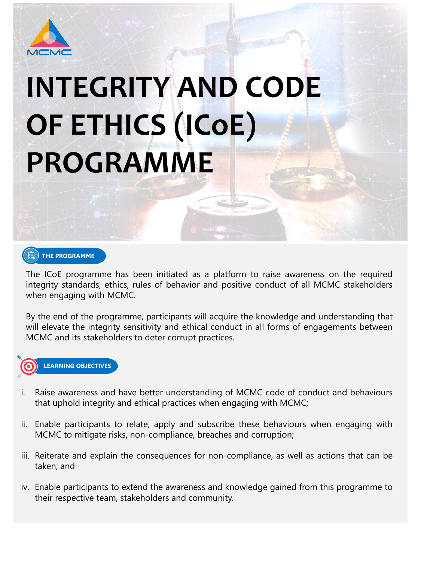

# **INTEGRITY AND CODE OF ETHICS (ICoE) PROGRAMME**

The ICoE programme has been initiated as a platform to raise awareness on the required integrity standards, ethics, rules of behavior and positive conduct of all MCMC stakeholders when engaging with MCMC.

By the end of the programme, participants will acquire the knowledge and understanding that will elevate the integrity sensitivity and ethical conduct in all forms of engagements between MCMC and its stakeholders to deter corrupt practices.



**LEARNING OBJECTIVES**

Raise awareness and have better understanding of MCMC code of conduct and behaviours

- that uphold integrity and ethical practices when engaging with MCMC;
- ii. Enable participants to relate, apply and subscribe these behaviours when engaging with MCMC to mitigate risks, non-compliance, breaches and corruption;
- iii. Reiterate and explain the consequences for non-compliance, as well as actions that can be taken; and
- iv. Enable participants to extend the awareness and knowledge gained from this programme to their respective team, stakeholders and community.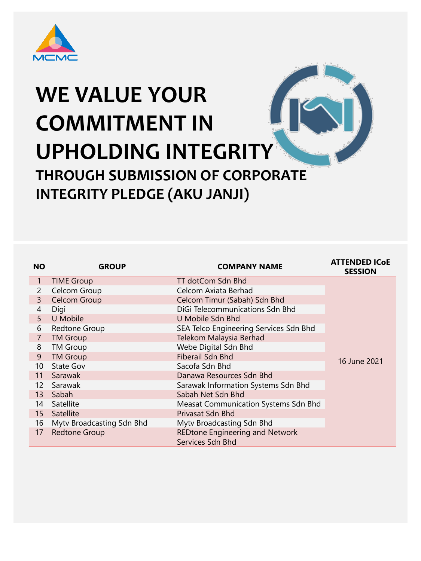

| <b>NO</b>       | <b>GROUP</b>                     | <b>COMPANY NAME</b>                                        | <b>ATTENDED ICOE</b><br><b>SESSION</b> |
|-----------------|----------------------------------|------------------------------------------------------------|----------------------------------------|
| $\mathbf{1}$    | <b>TIME Group</b>                | TT dotCom Sdn Bhd                                          |                                        |
| $\overline{2}$  | <b>Celcom Group</b>              | <b>Celcom Axiata Berhad</b>                                |                                        |
| $\overline{3}$  | <b>Celcom Group</b>              | Celcom Timur (Sabah) Sdn Bhd                               |                                        |
| $\overline{4}$  | Digi                             | DiGi Telecommunications Sdn Bhd                            |                                        |
| 5               | U Mobile                         | U Mobile Sdn Bhd                                           |                                        |
| 6               | <b>Redtone Group</b>             | SEA Telco Engineering Services Sdn Bhd                     |                                        |
| $\overline{7}$  | <b>TM Group</b>                  | Telekom Malaysia Berhad                                    |                                        |
| 8               | <b>TM Group</b>                  | Webe Digital Sdn Bhd                                       |                                        |
| 9               | <b>TM Group</b>                  | <b>Fiberail Sdn Bhd</b>                                    | 16 June 2021                           |
| 10 <sup>°</sup> | <b>State Gov</b>                 | Sacofa Sdn Bhd                                             |                                        |
| 11              | Sarawak                          | Danawa Resources Sdn Bhd                                   |                                        |
| 12 <sup>2</sup> | Sarawak                          | Sarawak Information Systems Sdn Bhd                        |                                        |
| 13              | Sabah                            | Sabah Net Sdn Bhd                                          |                                        |
| 14              | Satellite                        | <b>Measat Communication Systems Sdn Bhd</b>                |                                        |
| 15 <sup>2</sup> | <b>Satellite</b>                 | Privasat Sdn Bhd                                           |                                        |
| 16              | <b>Mytv Broadcasting Sdn Bhd</b> | Mytv Broadcasting Sdn Bhd                                  |                                        |
| 17              | <b>Redtone Group</b>             | <b>REDtone Engineering and Network</b><br>Services Sdn Bhd |                                        |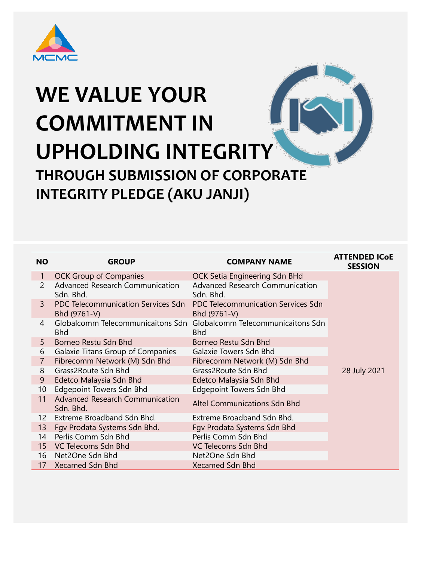| <b>NO</b>      | <b>GROUP</b>                                              | <b>COMPANY NAME</b>                                       | <b>ATTENDED ICOE</b><br><b>SESSION</b> |
|----------------|-----------------------------------------------------------|-----------------------------------------------------------|----------------------------------------|
| 1              | <b>OCK Group of Companies</b>                             | OCK Setia Engineering Sdn BHd                             |                                        |
| $\overline{2}$ | <b>Advanced Research Communication</b><br>Sdn. Bhd.       | <b>Advanced Research Communication</b><br>Sdn. Bhd.       |                                        |
| $\mathsf{3}$   | <b>PDC Telecommunication Services Sdn</b><br>Bhd (9761-V) | <b>PDC Telecommunication Services Sdn</b><br>Bhd (9761-V) |                                        |
| $\overline{4}$ | Globalcomm Telecommunicaitons Sdn<br><b>Bhd</b>           | Globalcomm Telecommunicaitons Sdn<br><b>Bhd</b>           |                                        |
| 5              | Borneo Restu Sdn Bhd                                      | Borneo Restu Sdn Bhd                                      |                                        |
| 6              | <b>Galaxie Titans Group of Companies</b>                  | <b>Galaxie Towers Sdn Bhd</b>                             |                                        |
|                | Fibrecomm Network (M) Sdn Bhd                             | Fibrecomm Network (M) Sdn Bhd                             |                                        |
| 8              | <b>Grass2Route Sdn Bhd</b>                                | Grass2Route Sdn Bhd                                       | 28 July 2021                           |
| 9              | Edetco Malaysia Sdn Bhd                                   | Edetco Malaysia Sdn Bhd                                   |                                        |
| 10             | <b>Edgepoint Towers Sdn Bhd</b>                           | <b>Edgepoint Towers Sdn Bhd</b>                           |                                        |
| 11             | <b>Advanced Research Communication</b><br>Sdn. Bhd.       | <b>Altel Communications Sdn Bhd</b>                       |                                        |

- 13 Fgv Prodata Systems Sdn Bhd. Fgv Prodata Systems Sdn Bhd
- 14 Perlis Comm Sdn Bhd<br>
Perlis Comm Sdn Bhd
- 15 VC Telecoms Sdn Bhd VC Telecoms Sdn Bhd
- 16 Net2One Sdn Bhd Net2One Sdn Bhd
- 17 Xecamed Sdn Bhd Xecamed Sdn Bhd

Extreme Broadband Sdn Bhd.

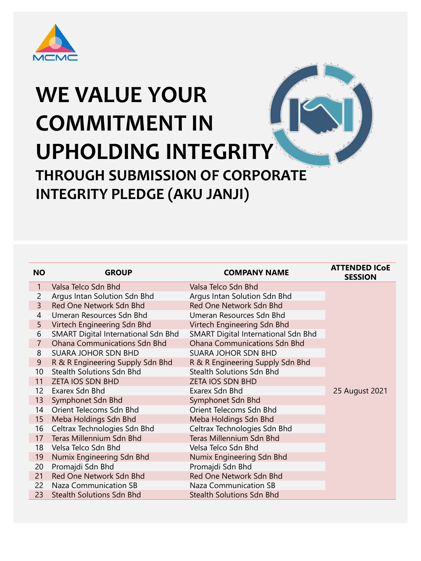| <b>NO</b>      | <b>GROUP</b>                               | <b>COMPANY NAME</b>                        | <b>ATTENDED ICOE</b><br><b>SESSION</b> |
|----------------|--------------------------------------------|--------------------------------------------|----------------------------------------|
| $\mathbf{1}$   | Valsa Telco Sdn Bhd                        | Valsa Telco Sdn Bhd                        |                                        |
| $\overline{2}$ | Argus Intan Solution Sdn Bhd               | Argus Intan Solution Sdn Bhd               |                                        |
| $\mathsf{3}$   | Red One Network Sdn Bhd                    | Red One Network Sdn Bhd                    |                                        |
| $\overline{4}$ | Umeran Resources Sdn Bhd                   | Umeran Resources Sdn Bhd                   |                                        |
| 5              | Virtech Engineering Sdn Bhd                | Virtech Engineering Sdn Bhd                |                                        |
| 6              | <b>SMART Digital International Sdn Bhd</b> | <b>SMART Digital International Sdn Bhd</b> |                                        |
| $\overline{7}$ | <b>Ohana Communications Sdn Bhd</b>        | <b>Ohana Communications Sdn Bhd</b>        |                                        |
| 8              | <b>SUARA JOHOR SDN BHD</b>                 | <b>SUARA JOHOR SDN BHD</b>                 |                                        |
| 9              | R & R Engineering Supply Sdn Bhd           | R & R Engineering Supply Sdn Bhd           |                                        |
| 10             | <b>Stealth Solutions Sdn Bhd</b>           | <b>Stealth Solutions Sdn Bhd</b>           |                                        |
| 11             | <b>ZETA IOS SDN BHD</b>                    | <b>ZETA IOS SDN BHD</b>                    |                                        |
| 12             | Exarex Sdn Bhd                             | Exarex Sdn Bhd                             | 25 August 2021                         |
| 13             | Symphonet Sdn Bhd                          | Symphonet Sdn Bhd                          |                                        |
| 14             | Orient Telecoms Sdn Bhd                    | Orient Telecoms Sdn Bhd                    |                                        |
| 15             | Meba Holdings Sdn Bhd                      | Meba Holdings Sdn Bhd                      |                                        |
| 16             | Celtrax Technologies Sdn Bhd               | Celtrax Technologies Sdn Bhd               |                                        |
| 17             | <b>Teras Millennium Sdn Bhd</b>            | <b>Teras Millennium Sdn Bhd</b>            |                                        |
| 18             | Velsa Telco Sdn Bhd                        | Velsa Telco Sdn Bhd                        |                                        |
| 19             | Numix Engineering Sdn Bhd                  | Numix Engineering Sdn Bhd                  |                                        |
| 20             | Promajdi Sdn Bhd                           | Promajdi Sdn Bhd                           |                                        |
| 21             | Red One Network Sdn Bhd                    | Red One Network Sdn Bhd                    |                                        |
| 22             | Naza Communication SB                      | <b>Naza Communication SB</b>               |                                        |
| 23             | <b>Stealth Solutions Sdn Bhd</b>           | <b>Stealth Solutions Sdn Bhd</b>           |                                        |